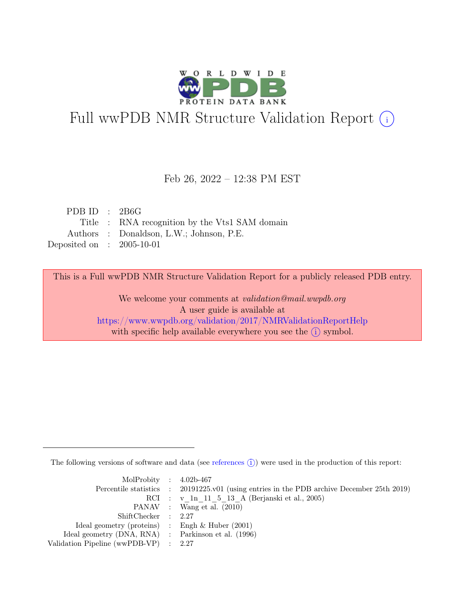

# Full wwPDB NMR Structure Validation Report (i)

#### Feb 26, 2022 – 12:38 PM EST

| PDB ID : $2B6G$             |                                                |
|-----------------------------|------------------------------------------------|
|                             | Title : RNA recognition by the Vts1 SAM domain |
|                             | Authors : Donaldson, L.W.; Johnson, P.E.       |
| Deposited on : $2005-10-01$ |                                                |

This is a Full wwPDB NMR Structure Validation Report for a publicly released PDB entry.

We welcome your comments at *validation@mail.wwpdb.org* A user guide is available at <https://www.wwpdb.org/validation/2017/NMRValidationReportHelp> with specific help available everywhere you see the  $(i)$  symbol.

The following versions of software and data (see [references](https://www.wwpdb.org/validation/2017/NMRValidationReportHelp#references)  $\hat{I}$ ) were used in the production of this report:

| MolProbity : $4.02b-467$                            |                                                                                            |
|-----------------------------------------------------|--------------------------------------------------------------------------------------------|
|                                                     | Percentile statistics : 20191225.v01 (using entries in the PDB archive December 25th 2019) |
|                                                     | RCI : v 1n 11 5 13 A (Berjanski et al., 2005)                                              |
|                                                     | PANAV : Wang et al. (2010)                                                                 |
| ShiftChecker : 2.27                                 |                                                                                            |
| Ideal geometry (proteins) : Engh $\&$ Huber (2001)  |                                                                                            |
| Ideal geometry (DNA, RNA) : Parkinson et al. (1996) |                                                                                            |
| Validation Pipeline (wwPDB-VP) : $2.27$             |                                                                                            |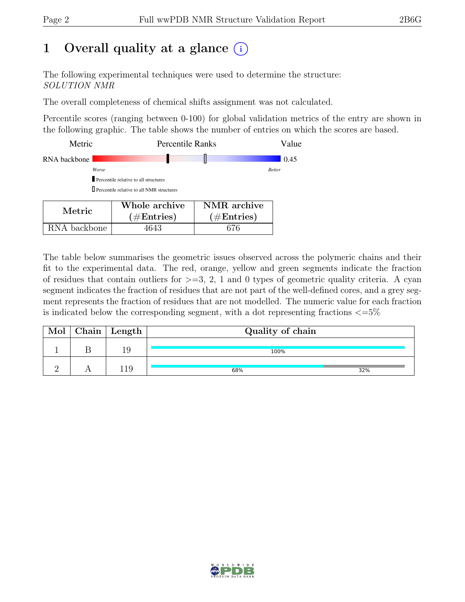## 1 Overall quality at a glance  $(i)$

The following experimental techniques were used to determine the structure: SOLUTION NMR

The overall completeness of chemical shifts assignment was not calculated.

Percentile scores (ranging between 0-100) for global validation metrics of the entry are shown in the following graphic. The table shows the number of entries on which the scores are based.

| Metric       |                                                    | <b>Percentile Ranks</b> |               |  |
|--------------|----------------------------------------------------|-------------------------|---------------|--|
| RNA backbone |                                                    |                         | 0.45          |  |
| Worse        |                                                    |                         | <b>Better</b> |  |
|              | Percentile relative to all structures              |                         |               |  |
|              | <b>D</b> Percentile relative to all NMR structures |                         |               |  |
|              | Whole archive                                      | NMR archive             |               |  |
| Metric       | $\#$ Entries)                                      | $\hat{}$ #Entries)      |               |  |

| RNA backbone | 4643 | 676

| The table below summarises the geometric issues observed across the polymeric chains and their          |
|---------------------------------------------------------------------------------------------------------|
| fit to the experimental data. The red, orange, yellow and green segments indicate the fraction          |
| of residues that contain outliers for $>=$ 3, 2, 1 and 0 types of geometric quality criteria. A cyan    |
| segment indicates the fraction of residues that are not part of the well-defined cores, and a grey seg- |
| ment represents the fraction of residues that are not modelled. The numeric value for each fraction     |

is indicated below the corresponding segment, with a dot representing fractions  $\langle=5\%$ 

| Mol | $\Box$ Chain   Length | Quality of chain |     |  |  |
|-----|-----------------------|------------------|-----|--|--|
|     | 19                    | 100%             |     |  |  |
|     |                       | 68%              | 32% |  |  |

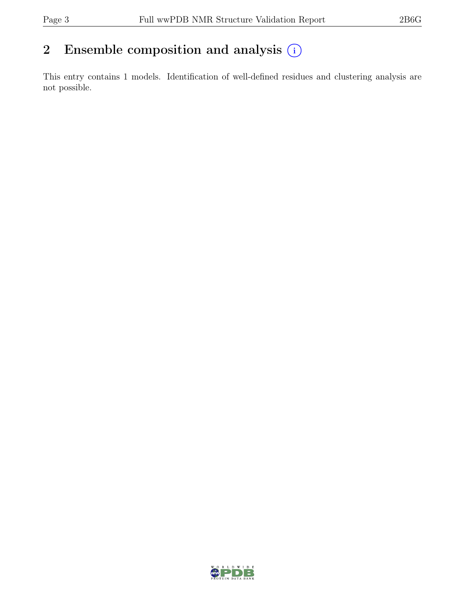### 2 Ensemble composition and analysis  $(i)$

This entry contains 1 models. Identification of well-defined residues and clustering analysis are not possible.

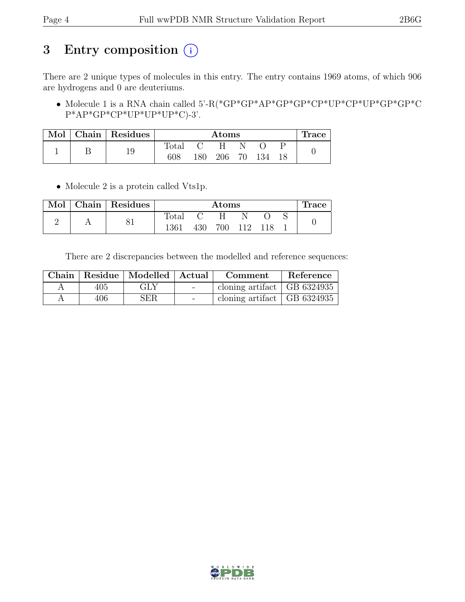## 3 Entry composition (i)

There are 2 unique types of molecules in this entry. The entry contains 1969 atoms, of which 906 are hydrogens and 0 are deuteriums.

• Molecule 1 is a RNA chain called 5'-R(\*GP\*GP\*AP\*GP\*GP\*CP\*UP\*CP\*UP\*GP\*GP\*C P\*AP\*GP\*CP\*UP\*UP\*UP\*C)-3'.

| $\mathbf{Mol}$ |    | $\vert$ Chain   Residues | $\rm{Atoms}$   |     |    |     |  | Trace |  |
|----------------|----|--------------------------|----------------|-----|----|-----|--|-------|--|
|                |    | 10                       | $_{\rm Total}$ |     |    |     |  |       |  |
|                | ⊥J | 608                      | 80             | 206 | 70 | 134 |  |       |  |

• Molecule 2 is a protein called Vts1p.

|  | Mol   Chain   Residues |                | $\rm{Atoms}$ |     |       |  |  | Trace |
|--|------------------------|----------------|--------------|-----|-------|--|--|-------|
|  |                        | $\text{Total}$ |              | H.  |       |  |  |       |
|  | ΟI                     | 1361           | 430          | 700 | - 112 |  |  |       |

There are 2 discrepancies between the modelled and reference sequences:

|      | Chain   Residue   Modelled   Actual | Comment                       | Reference |
|------|-------------------------------------|-------------------------------|-----------|
| 405  | GLY                                 | cloning artifact   GB 6324935 |           |
| 406. | <b>SER</b>                          | cloning artifact   GB 6324935 |           |

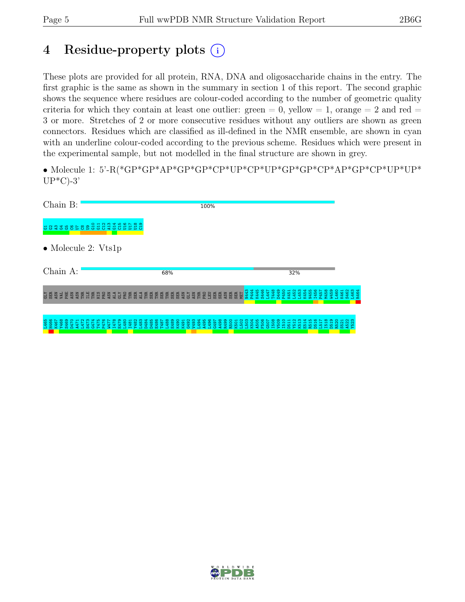### 4 Residue-property plots (i)

These plots are provided for all protein, RNA, DNA and oligosaccharide chains in the entry. The first graphic is the same as shown in the summary in section 1 of this report. The second graphic shows the sequence where residues are colour-coded according to the number of geometric quality criteria for which they contain at least one outlier: green  $= 0$ , yellow  $= 1$ , orange  $= 2$  and red  $=$ 3 or more. Stretches of 2 or more consecutive residues without any outliers are shown as green connectors. Residues which are classified as ill-defined in the NMR ensemble, are shown in cyan with an underline colour-coded according to the previous scheme. Residues which were present in the experimental sample, but not modelled in the final structure are shown in grey.

• Molecule 1: 5'-R(\*GP\*GP\*AP\*GP\*GP\*CP\*UP\*CP\*UP\*GP\*GP\*CP\*AP\*GP\*CP\*UP\*UP\*  $UP*C$ -3'

| Chain B:                                  |                                                                                                   | 100%                                                        |                                                                                                                                         |                                     |
|-------------------------------------------|---------------------------------------------------------------------------------------------------|-------------------------------------------------------------|-----------------------------------------------------------------------------------------------------------------------------------------|-------------------------------------|
| <b>89</b><br>3923885                      | G10<br>U <sub>18</sub><br>$\overline{c}$<br>$\frac{6}{5}$<br>$\overline{a}$<br>644<br>불<br>퓽<br>Б |                                                             |                                                                                                                                         |                                     |
| $\bullet$ Molecule 2: Vts1p               |                                                                                                   |                                                             |                                                                                                                                         |                                     |
| Chain A:                                  |                                                                                                   | 68%                                                         | 32%                                                                                                                                     |                                     |
| SER<br>ASN<br><b>ARSSER</b><br><b>CLY</b> | <b>ERESTREESSE</b>                                                                                | N443<br>P444<br>MET<br><b>EEEEEEEEEEEE</b><br><b>EBBBSB</b> | I456<br>S446<br>D <sub>449</sub><br>P450<br>K454<br>M458<br>W459<br>K445<br>L453<br>N455<br>L452<br><b>T448</b><br>K451<br>P457<br>L447 | L463<br>L460<br>S462<br>K461<br>୍ତି |
|                                           |                                                                                                   |                                                             |                                                                                                                                         |                                     |

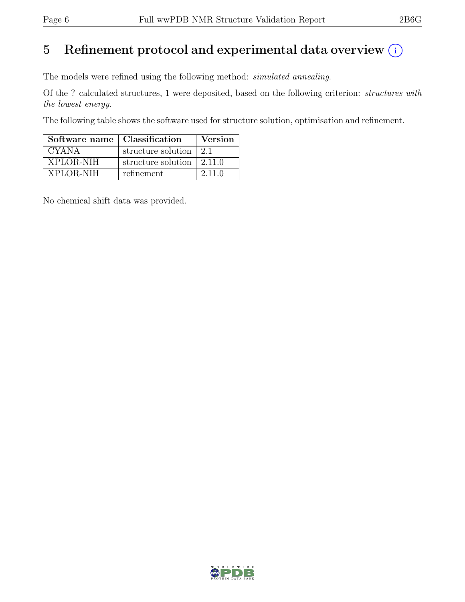## 5 Refinement protocol and experimental data overview  $(i)$

The models were refined using the following method: simulated annealing.

Of the ? calculated structures, 1 were deposited, based on the following criterion: structures with the lowest energy.

The following table shows the software used for structure solution, optimisation and refinement.

| Software name   Classification |                                           | Version |
|--------------------------------|-------------------------------------------|---------|
| <b>CYANA</b>                   | structure solution                        | 21      |
| XPLOR-NIH                      | structure solution $\vert 2.11.0 \rangle$ |         |
| XPLOR-NIH                      | refinement                                | 2.11.0  |

No chemical shift data was provided.

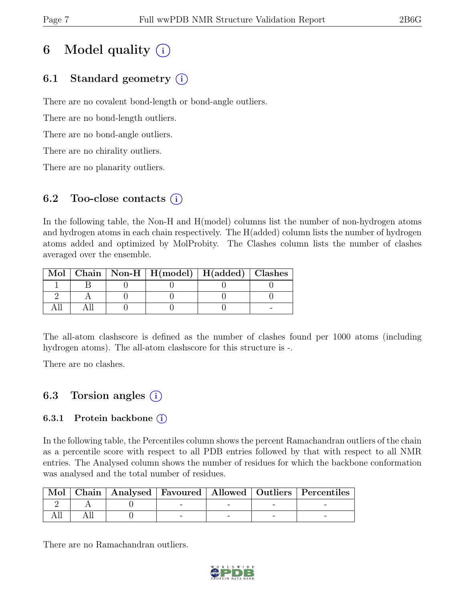## 6 Model quality  $(i)$

### 6.1 Standard geometry (i)

There are no covalent bond-length or bond-angle outliers.

There are no bond-length outliers.

There are no bond-angle outliers.

There are no chirality outliers.

There are no planarity outliers.

#### 6.2 Too-close contacts  $(i)$

In the following table, the Non-H and H(model) columns list the number of non-hydrogen atoms and hydrogen atoms in each chain respectively. The H(added) column lists the number of hydrogen atoms added and optimized by MolProbity. The Clashes column lists the number of clashes averaged over the ensemble.

|  | Mol   Chain   Non-H   $H (model)$   $H (added)$   Clashes |  |
|--|-----------------------------------------------------------|--|
|  |                                                           |  |
|  |                                                           |  |
|  |                                                           |  |

The all-atom clashscore is defined as the number of clashes found per 1000 atoms (including hydrogen atoms). The all-atom clashscore for this structure is -.

There are no clashes.

### 6.3 Torsion angles (i)

#### 6.3.1 Protein backbone  $(i)$

In the following table, the Percentiles column shows the percent Ramachandran outliers of the chain as a percentile score with respect to all PDB entries followed by that with respect to all NMR entries. The Analysed column shows the number of residues for which the backbone conformation was analysed and the total number of residues.

|  |  |  | Mol   Chain   Analysed   Favoured   Allowed   Outliers   Percentiles |
|--|--|--|----------------------------------------------------------------------|
|  |  |  |                                                                      |
|  |  |  |                                                                      |

There are no Ramachandran outliers.

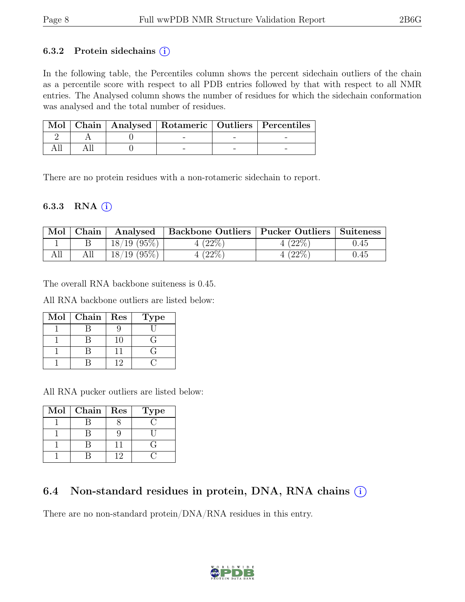#### 6.3.2 Protein sidechains  $(i)$

In the following table, the Percentiles column shows the percent sidechain outliers of the chain as a percentile score with respect to all PDB entries followed by that with respect to all NMR entries. The Analysed column shows the number of residues for which the sidechain conformation was analysed and the total number of residues.

|  |  | Mol   Chain   Analysed   Rotameric   Outliers   Percentiles |
|--|--|-------------------------------------------------------------|
|  |  |                                                             |
|  |  |                                                             |

There are no protein residues with a non-rotameric sidechain to report.

#### 6.3.3 RNA  $(i)$

| Mol | ${\rm Chain}$ | Analysed       | <b>Backbone Outliers   Pucker Outliers  </b> |             | Suiteness |
|-----|---------------|----------------|----------------------------------------------|-------------|-----------|
|     |               | $18/19$ (95\%) | $^{\prime}22\%$                              | $^{'}22\%$  | 0.45      |
|     |               | $18/19$ (95\%) | $^{\prime}22\%$                              | $^{'}22\%)$ | 0.45      |

The overall RNA backbone suiteness is 0.45.

All RNA backbone outliers are listed below:

| Mol | Chain | Res | Type |
|-----|-------|-----|------|
|     |       |     |      |
|     |       | 10  |      |
|     |       |     |      |
|     |       |     |      |

All RNA pucker outliers are listed below:

| Mol | ${\bf Chain}$ | Res | <b>Type</b> |
|-----|---------------|-----|-------------|
|     |               |     |             |
|     |               |     |             |
|     |               |     |             |
|     |               |     |             |

#### 6.4 Non-standard residues in protein, DNA, RNA chains  $(i)$

There are no non-standard protein/DNA/RNA residues in this entry.

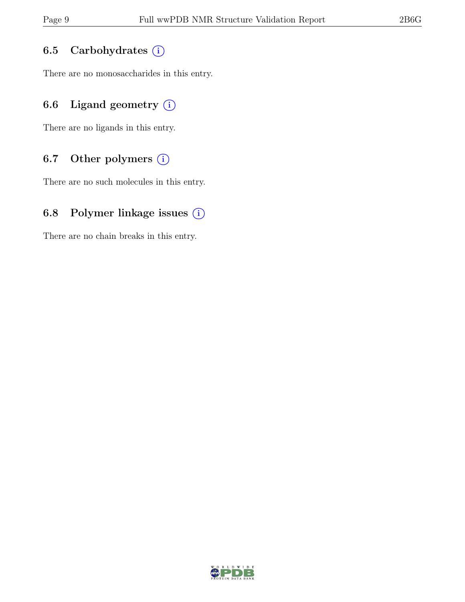### 6.5 Carbohydrates (i)

There are no monosaccharides in this entry.

### 6.6 Ligand geometry  $(i)$

There are no ligands in this entry.

#### 6.7 Other polymers (i)

There are no such molecules in this entry.

### 6.8 Polymer linkage issues  $(i)$

There are no chain breaks in this entry.